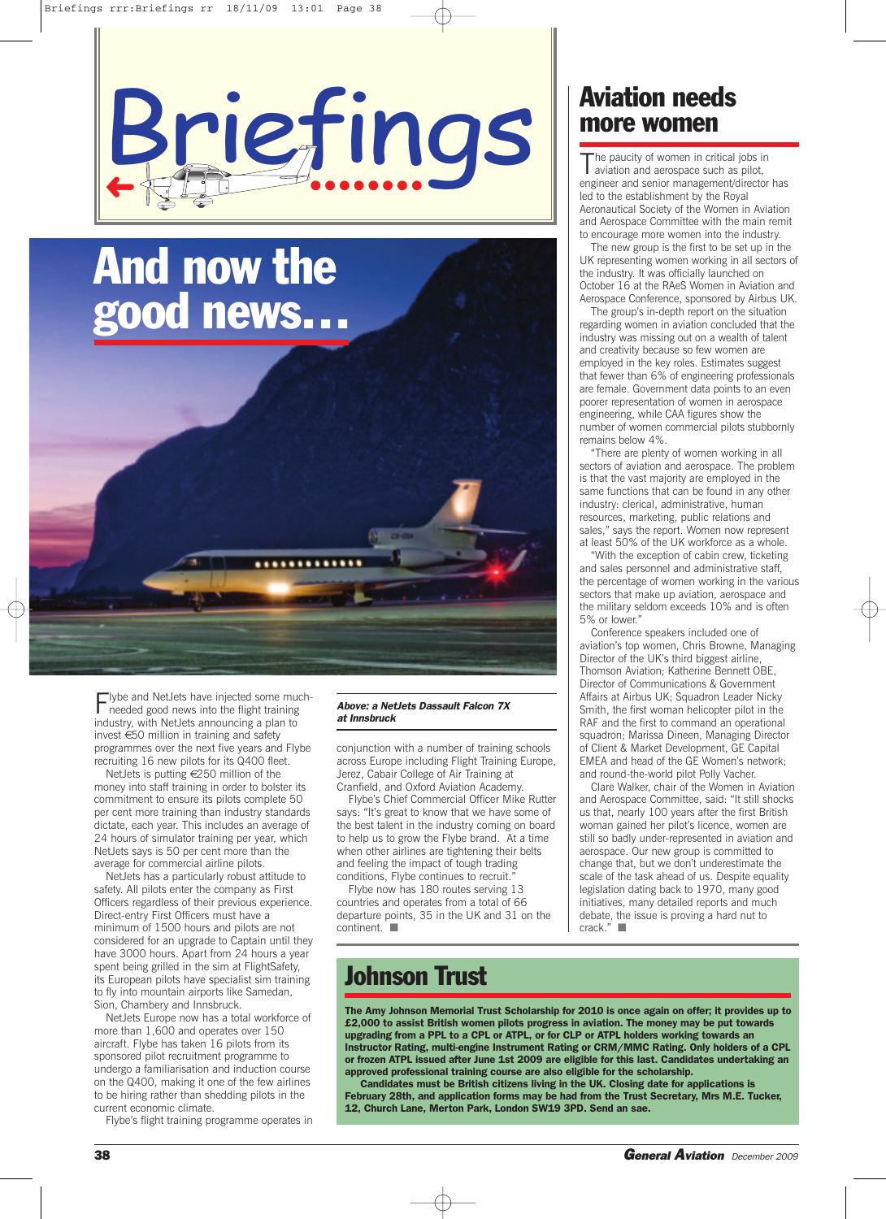

# **And now the good news…** .............

Flybe and NetJets have injected some much-needed good news into the flight training industry, with NetJets announcing a plan to invest €50 million in training and safety programmes over the next five years and Flybe recruiting 16 new pilots for its Q400 fleet.

NetJets is putting €250 million of the money into staff training in order to bolster its commitment to ensure its pilots complete 50 per cent more training than industry standards dictate, each year. This includes an average of 24 hours of simulator training per year, which NetJets says is 50 per cent more than the average for commercial airline pilots.

NetJets has a particularly robust attitude to safety. All pilots enter the company as First Officers regardless of their previous experience. Direct-entry First Officers must have a minimum of 1500 hours and pilots are not considered for an upgrade to Captain until they have 3000 hours. Apart from 24 hours a year spent being grilled in the sim at FlightSafety, its European pilots have specialist sim training to fly into mountain airports like Samedan, Sion, Chambery and Innsbruck.

NetJets Europe now has a total workforce of more than 1,600 and operates over 150 aircraft. Flybe has taken 16 pilots from its sponsored pilot recruitment programme to undergo a familiarisation and induction course on the Q400, making it one of the few airlines to be hiring rather than shedding pilots in the current economic climate.

Flybe's flight training programme operates in

#### *Above: a NetJets Dassault Falcon 7X at Innsbruck*

conjunction with a number of training schools across Europe including Flight Training Europe, Jerez, Cabair College of Air Training at Cranfield, and Oxford Aviation Academy.

Flybe's Chief Commercial Officer Mike Rutter says: "It's great to know that we have some of the best talent in the industry coming on board to help us to grow the Flybe brand. At a time when other airlines are tightening their belts and feeling the impact of tough trading conditions, Flybe continues to recruit."

Flybe now has 180 routes serving 13 countries and operates from a total of 66 departure points, 35 in the UK and 31 on the continent. ■

#### **Aviation needs more women**

The paucity of women in critical jobs in aviation and aerospace such as pilot, engineer and senior management/director has led to the establishment by the Royal Aeronautical Society of the Women in Aviation and Aerospace Committee with the main remit to encourage more women into the industry.

The new group is the first to be set up in the UK representing women working in all sectors of the industry. It was officially launched on October 16 at the RAeS Women in Aviation and Aerospace Conference, sponsored by Airbus UK.

The group's in-depth report on the situation regarding women in aviation concluded that the industry was missing out on a wealth of talent and creativity because so few women are employed in the key roles. Estimates suggest that fewer than 6% of engineering professionals are female. Government data points to an even poorer representation of women in aerospace engineering, while CAA figures show the number of women commercial pilots stubbornly remains below 4%.

"There are plenty of women working in all sectors of aviation and aerospace. The problem is that the vast majority are employed in the same functions that can be found in any other industry: clerical, administrative, human resources, marketing, public relations and sales," says the report. Women now represent at least 50% of the UK workforce as a whole.

"With the exception of cabin crew, ticketing and sales personnel and administrative staff, the percentage of women working in the various sectors that make up aviation, aerospace and the military seldom exceeds 10% and is often 5% or lower."

Conference speakers included one of aviation's top women, Chris Browne, Managing Director of the UK's third biggest airline, Thomson Aviation; Katherine Bennett OBE, Director of Communications & Government Affairs at Airbus UK; Squadron Leader Nicky Smith, the first woman helicopter pilot in the RAF and the first to command an operational squadron; Marissa Dineen, Managing Director of Client & Market Development, GE Capital EMEA and head of the GE Women's network; and round-the-world pilot Polly Vacher.

Clare Walker, chair of the Women in Aviation and Aerospace Committee, said: "It still shocks us that, nearly 100 years after the first British woman gained her pilot's licence, women are still so badly under-represented in aviation and aerospace. Our new group is committed to change that, but we don't underestimate the scale of the task ahead of us. Despite equality legislation dating back to 1970, many good initiatives, many detailed reports and much debate, the issue is proving a hard nut to crack." ■

#### **Johnson Trust**

**The Amy Johnson Memorial Trust Scholarship for 2010 is once again on offer; it provides up to £2,000 to assist British women pilots progress in aviation. The money may be put towards upgrading from a PPL to a CPL or ATPL, or for CLP or ATPL holders working towards an Instructor Rating, multi-engine Instrument Rating or CRM/MMC Rating. Only holders of a CPL or frozen ATPL issued after June 1st 2009 are eligible for this last. Candidates undertaking an approved professional training course are also eligible for the scholarship.**

**Candidates must be British citizens living in the UK. Closing date for applications is February 28th, and application forms may be had from the Trust Secretary, Mrs M.E. Tucker, 12, Church Lane, Merton Park, London SW19 3PD. Send an sae.**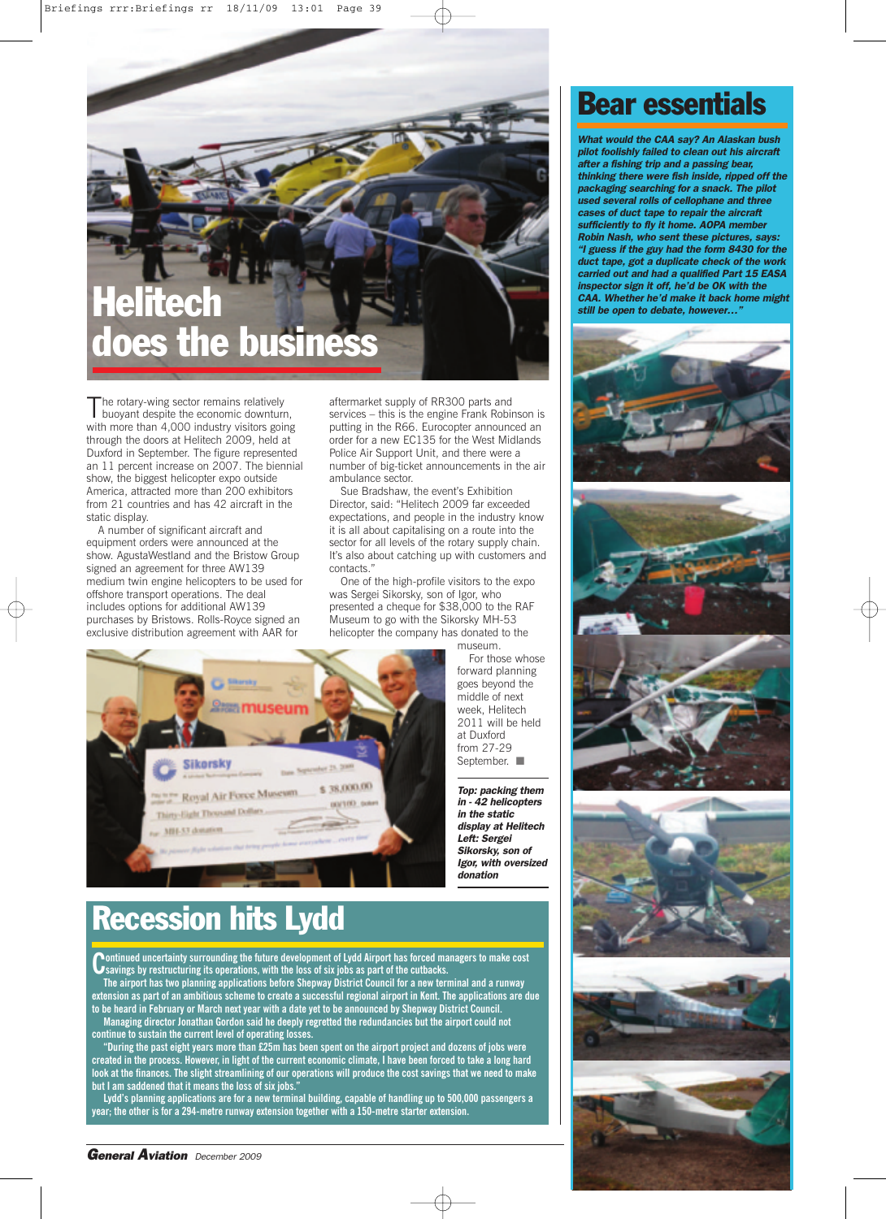## **Helitech does the business**

The rotary-wing sector remains relatively<br>buoyant despite the economic downturn, with more than 4,000 industry visitors going through the doors at Helitech 2009, held at Duxford in September. The figure represented an 11 percent increase on 2007. The biennial show, the biggest helicopter expo outside America, attracted more than 200 exhibitors from 21 countries and has 42 aircraft in the static display.

A number of significant aircraft and equipment orders were announced at the show. AgustaWestland and the Bristow Group signed an agreement for three AW139 medium twin engine helicopters to be used for offshore transport operations. The deal includes options for additional AW139 purchases by Bristows. Rolls-Royce signed an exclusive distribution agreement with AAR for

aftermarket supply of RR300 parts and services – this is the engine Frank Robinson is putting in the R66. Eurocopter announced an order for a new EC135 for the West Midlands Police Air Support Unit, and there were a number of big-ticket announcements in the air ambulance sector.

Sue Bradshaw, the event's Exhibition Director, said: "Helitech 2009 far exceeded expectations, and people in the industry know it is all about capitalising on a route into the sector for all levels of the rotary supply chain. It's also about catching up with customers and contacts."

One of the high-profile visitors to the expo was Sergei Sikorsky, son of Igor, who presented a cheque for \$38,000 to the RAF Museum to go with the Sikorsky MH-53 helicopter the company has donated to the



*Top: packing them in - 42 helicopters in the static display at Helitech Left: Sergei Sikorsky, son of Igor, with oversized donation*



## **Recession hits Lydd**

**Continued uncertainty surrounding the future development of Lydd Airport has forced managers to make cost Savings by restructuring its operations, with the loss of six jobs as part of the cutbacks.** 

**The airport has two planning applications before Shepway District Council for a new terminal and a runway** extension as part of an ambitious scheme to create a successful regional airport in Kent. The applications are due to be heard in February or March next year with a date yet to be announced by Shepway District Council. **Managing director Jonathan Gordon said he deeply regretted the redundancies but the airport could not continue to sustain the current level of operating losses.**

"During the past eight years more than £25m has been spent on the airport project and dozens of jobs were created in the process. However, in light of the current economic climate, I have been forced to take a long hard look at the finances. The slight streamlining of our operations will produce the cost savings that we need to make **but I am saddened that it means the loss of six jobs."**

Lydd's planning applications are for a new terminal building, capable of handling up to 500,000 passengers a **year; the other is for a 294-metre runway extension together with a 150-metre starter extension.**

### **Bear essentials**

*What would the CAA say? An Alaskan bush pilot foolishly failed to clean out his aircraft after a fishing trip and a passing bear, thinking there were fish inside, ripped off the packaging searching for a snack. The pilot used several rolls of cellophane and three cases of duct tape to repair the aircraft sufficiently to fly it home. AOPA member Robin Nash, who sent these pictures, says: "I guess if the guy had the form 8430 for the duct tape, got a duplicate check of the work carried out and had a qualified Part 15 EASA inspector sign it off, he'd be OK with the CAA. Whether he'd make it back home might still be open to debate, however…"*